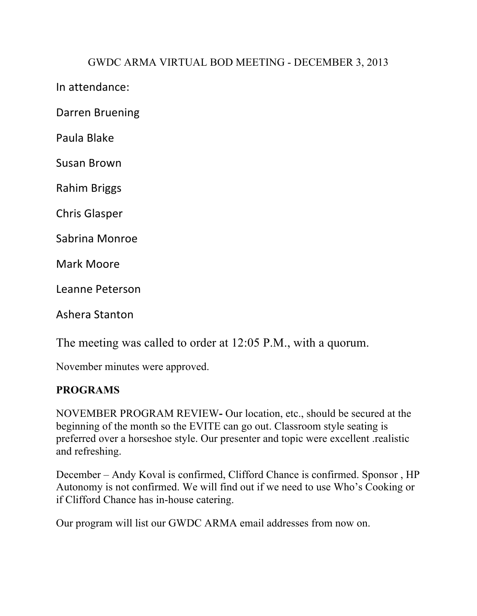## GWDC ARMA VIRTUAL BOD MEETING - DECEMBER 3, 2013

In attendance:

Darren Bruening

Paula Blake

Susan Brown

Rahim Briggs

Chris Glasper

Sabrina Monroe

Mark Moore

Leanne Peterson

Ashera Stanton

The meeting was called to order at 12:05 P.M., with a quorum.

November minutes were approved.

## **PROGRAMS**

NOVEMBER PROGRAM REVIEW**-** Our location, etc., should be secured at the beginning of the month so the EVITE can go out. Classroom style seating is preferred over a horseshoe style. Our presenter and topic were excellent .realistic and refreshing.

December – Andy Koval is confirmed, Clifford Chance is confirmed. Sponsor , HP Autonomy is not confirmed. We will find out if we need to use Who's Cooking or if Clifford Chance has in-house catering.

Our program will list our GWDC ARMA email addresses from now on.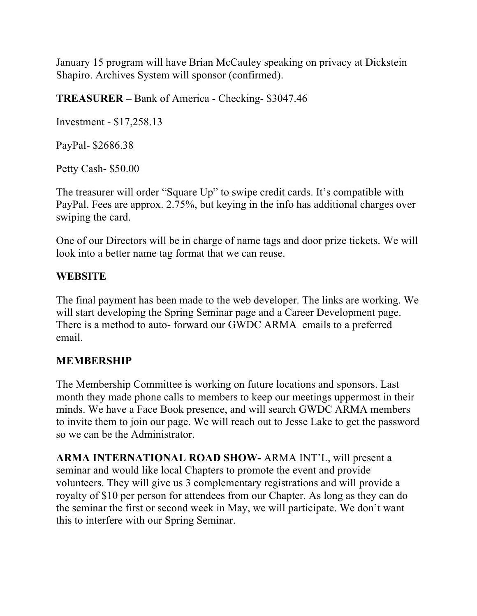January 15 program will have Brian McCauley speaking on privacy at Dickstein Shapiro. Archives System will sponsor (confirmed).

**TREASURER –** Bank of America - Checking- \$3047.46

Investment - \$17,258.13

PayPal- \$2686.38

Petty Cash- \$50.00

The treasurer will order "Square Up" to swipe credit cards. It's compatible with PayPal. Fees are approx. 2.75%, but keying in the info has additional charges over swiping the card.

One of our Directors will be in charge of name tags and door prize tickets. We will look into a better name tag format that we can reuse.

## **WEBSITE**

The final payment has been made to the web developer. The links are working. We will start developing the Spring Seminar page and a Career Development page. There is a method to auto- forward our GWDC ARMA emails to a preferred email.

## **MEMBERSHIP**

The Membership Committee is working on future locations and sponsors. Last month they made phone calls to members to keep our meetings uppermost in their minds. We have a Face Book presence, and will search GWDC ARMA members to invite them to join our page. We will reach out to Jesse Lake to get the password so we can be the Administrator.

**ARMA INTERNATIONAL ROAD SHOW-** ARMA INT'L, will present a seminar and would like local Chapters to promote the event and provide volunteers. They will give us 3 complementary registrations and will provide a royalty of \$10 per person for attendees from our Chapter. As long as they can do the seminar the first or second week in May, we will participate. We don't want this to interfere with our Spring Seminar.